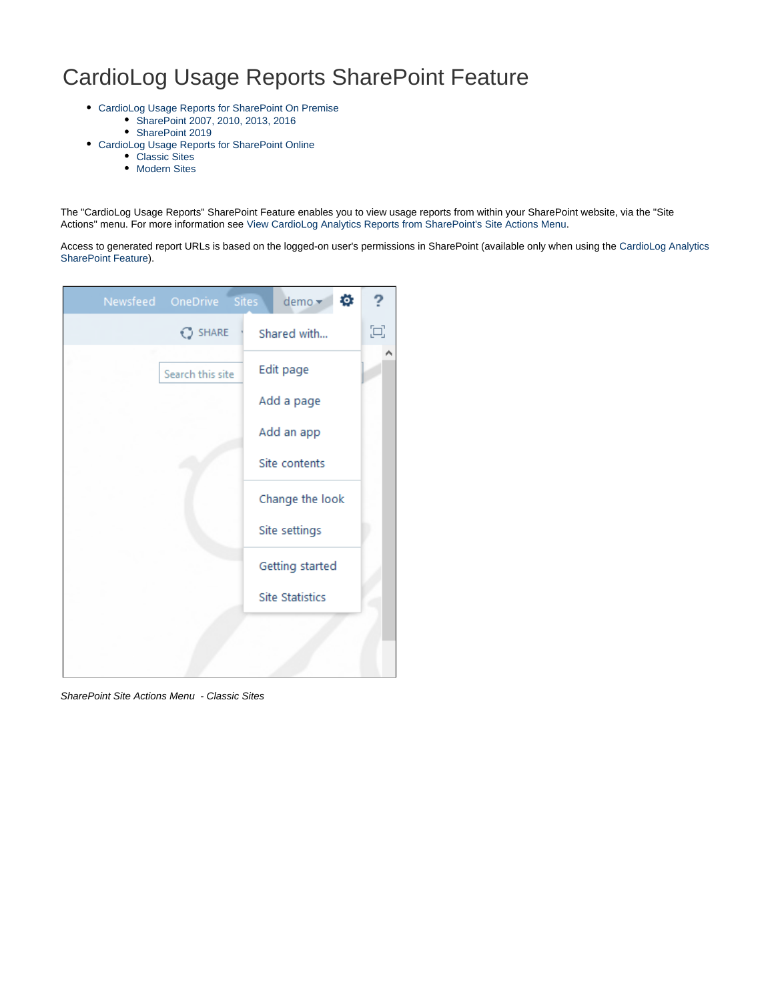# CardioLog Usage Reports SharePoint Feature

- [CardioLog Usage Reports for SharePoint On Premise](#page-1-0)
	- [SharePoint 2007, 2010, 2013, 2016](#page-1-1)
		- [SharePoint 2019](#page-2-0)
- [CardioLog Usage Reports for SharePoint Online](#page-3-0)
	- [Classic Sites](#page-3-1)
	- [Modern Sites](#page-5-0)

The "CardioLog Usage Reports" SharePoint Feature enables you to view usage reports from within your SharePoint website, via the "Site Actions" menu. For more information see [View CardioLog Analytics Reports from SharePoint's Site Actions Menu](https://kb.intlock.com/display/Support/View+CardioLog+Analytics+Reports+from+SharePoint%27s+Site+Actions+Menu).

Access to generated report URLs is based on the logged-on user's permissions in SharePoint (available only when using the [CardioLog Analytics](https://kb.intlock.com/display/Support/Configuring+Usage+Tracking+and+Reporting+for+SharePoint+On-Premise#ConfiguringUsageTrackingandReportingforSharePointOn-Premise-deploysharepoint) [SharePoint Feature](https://kb.intlock.com/display/Support/Configuring+Usage+Tracking+and+Reporting+for+SharePoint+On-Premise#ConfiguringUsageTrackingandReportingforSharePointOn-Premise-deploysharepoint)).

| Newsfeed OneDrive | Sites <sup>1</sup> | demo -                 | ø | ?     |
|-------------------|--------------------|------------------------|---|-------|
| $O$ SHARE         |                    | Shared with            |   | $\Xi$ |
| Search this site  |                    | Edit page              |   |       |
|                   |                    | Add a page             |   |       |
|                   |                    | Add an app             |   |       |
|                   |                    | Site contents          |   |       |
|                   |                    | Change the look        |   |       |
|                   |                    | Site settings          |   |       |
|                   |                    | Getting started        |   |       |
|                   |                    | <b>Site Statistics</b> |   |       |
|                   |                    |                        |   |       |
|                   |                    |                        |   |       |

SharePoint Site Actions Menu - Classic Sites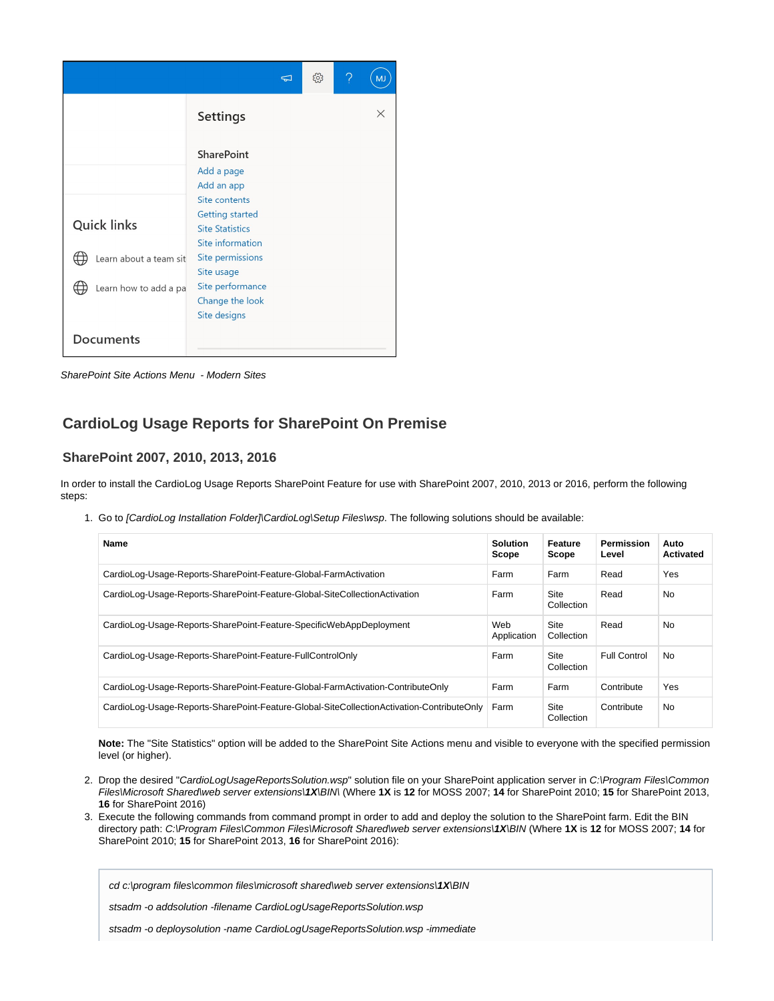|                        |                                                                                       | $\Box$ | ૹૢ૽ૺ | ? | M. |
|------------------------|---------------------------------------------------------------------------------------|--------|------|---|----|
|                        | <b>Settings</b>                                                                       |        |      |   | X  |
|                        | <b>SharePoint</b><br>Add a page<br>Add an app                                         |        |      |   |    |
| <b>Quick links</b>     | Site contents<br><b>Getting started</b><br><b>Site Statistics</b><br>Site information |        |      |   |    |
| Learn about a team sit | Site permissions<br>Site usage                                                        |        |      |   |    |
| Learn how to add a pa  | Site performance<br>Change the look<br>Site designs                                   |        |      |   |    |
| <b>Documents</b>       |                                                                                       |        |      |   |    |

SharePoint Site Actions Menu - Modern Sites

## <span id="page-1-0"></span>**CardioLog Usage Reports for SharePoint On Premise**

#### <span id="page-1-1"></span>**SharePoint 2007, 2010, 2013, 2016**

In order to install the CardioLog Usage Reports SharePoint Feature for use with SharePoint 2007, 2010, 2013 or 2016, perform the following steps:

1. Go to [CardioLog Installation Folder]\CardioLog\Setup Files\wsp. The following solutions should be available:

| Name                                                                                      | <b>Solution</b><br>Scope | Feature<br>Scope          | <b>Permission</b><br>Level | Auto<br><b>Activated</b> |
|-------------------------------------------------------------------------------------------|--------------------------|---------------------------|----------------------------|--------------------------|
| CardioLog-Usage-Reports-SharePoint-Feature-Global-FarmActivation                          | Farm                     | Farm                      | Read                       | Yes                      |
| CardioLog-Usage-Reports-SharePoint-Feature-Global-SiteCollectionActivation                | Farm                     | <b>Site</b><br>Collection | Read                       | <b>No</b>                |
| CardioLog-Usage-Reports-SharePoint-Feature-SpecificWebAppDeployment                       | Web<br>Application       | <b>Site</b><br>Collection | Read                       | <b>No</b>                |
| CardioLog-Usage-Reports-SharePoint-Feature-FullControlOnly                                | Farm                     | <b>Site</b><br>Collection | <b>Full Control</b>        | No.                      |
| CardioLog-Usage-Reports-SharePoint-Feature-Global-FarmActivation-ContributeOnly           | Farm                     | Farm                      | Contribute                 | Yes                      |
| CardioLog-Usage-Reports-SharePoint-Feature-Global-SiteCollectionActivation-ContributeOnly | Farm                     | Site<br>Collection        | Contribute                 | <b>No</b>                |

**Note:** The "Site Statistics" option will be added to the SharePoint Site Actions menu and visible to everyone with the specified permission level (or higher).

- 2. Drop the desired "CardioLogUsageReportsSolution.wsp" solution file on your SharePoint application server in C:\Program Files\Common Files\Microsoft Shared\web server extensions\**1X**\BIN\ (Where **1X** is **12** for MOSS 2007; **14** for SharePoint 2010; **15** for SharePoint 2013, **16** for SharePoint 2016)
- 3. Execute the following commands from command prompt in order to add and deploy the solution to the SharePoint farm. Edit the BIN directory path: C:\Program Files\Common Files\Microsoft Shared\web server extensions\**1X**\BIN (Where **1X** is **12** for MOSS 2007; **14** for SharePoint 2010; **15** for SharePoint 2013, **16** for SharePoint 2016):

cd c:\program files\common files\microsoft shared\web server extensions\**1X**\BIN

stsadm -o addsolution -filename CardioLogUsageReportsSolution.wsp

stsadm -o deploysolution -name CardioLogUsageReportsSolution.wsp -immediate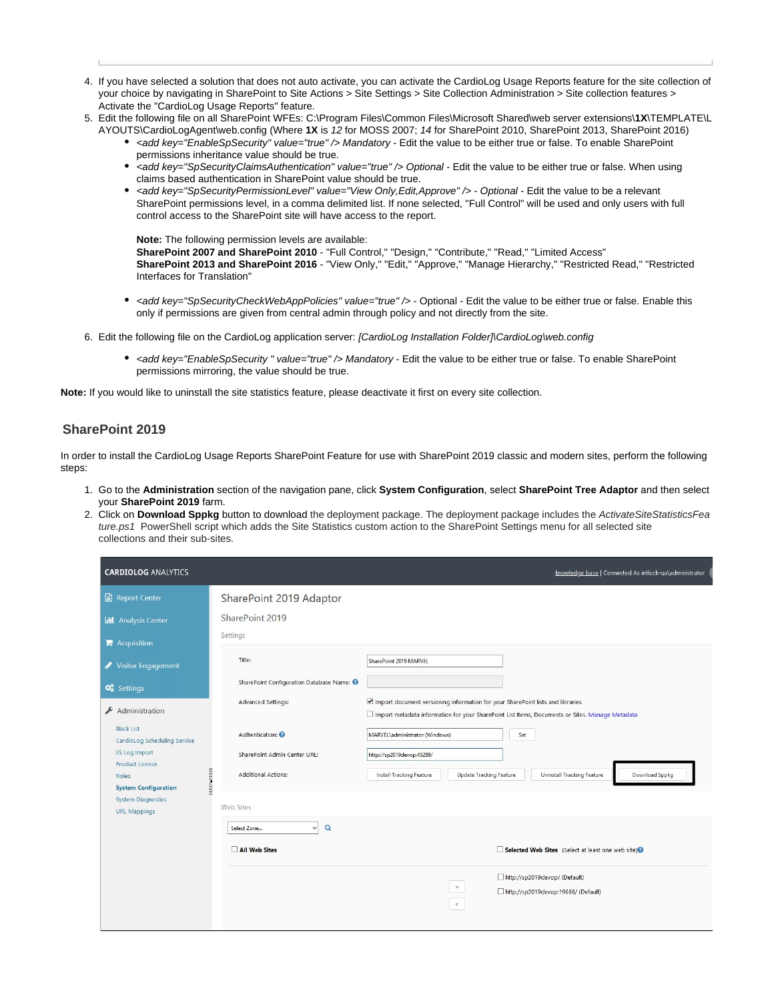- 4. If you have selected a solution that does not auto activate, you can activate the CardioLog Usage Reports feature for the site collection of your choice by navigating in SharePoint to Site Actions > Site Settings > Site Collection Administration > Site collection features > Activate the "CardioLog Usage Reports" feature.
- 5. Edit the following file on all SharePoint WFEs: C:\Program Files\Common Files\Microsoft Shared\web server extensions\**1X**\TEMPLATE\L
	- AYOUTS\CardioLogAgent\web.config (Where **1X** is 12 for MOSS 2007; 14 for SharePoint 2010, SharePoint 2013, SharePoint 2016) • <add key="EnableSpSecurity" value="true" /> Mandatory - Edit the value to be either true or false. To enable SharePoint permissions inheritance value should be true.
		- <add key="SpSecurityClaimsAuthentication" value="true" /> Optional Edit the value to be either true or false. When using claims based authentication in SharePoint value should be true.
		- <add key="SpSecurityPermissionLevel" value="View Only,Edit,Approve" /> Optional Edit the value to be a relevant SharePoint permissions level, in a comma delimited list. If none selected, "Full Control" will be used and only users with full control access to the SharePoint site will have access to the report.

**Note:** The following permission levels are available: **SharePoint 2007 and SharePoint 2010** - "Full Control," "Design," "Contribute," "Read," "Limited Access" **SharePoint 2013 and SharePoint 2016** - "View Only," "Edit," "Approve," "Manage Hierarchy," "Restricted Read," "Restricted Interfaces for Translation"

- <add key="SpSecurityCheckWebAppPolicies" value="true" /> Optional Edit the value to be either true or false. Enable this only if permissions are given from central admin through policy and not directly from the site.
- 6. Edit the following file on the CardioLog application server: [CardioLog Installation Folder]\CardioLog\web.config
	- <add key="EnableSpSecurity " value="true" /> Mandatory Edit the value to be either true or false. To enable SharePoint permissions mirroring, the value should be true.

**Note:** If you would like to uninstall the site statistics feature, please deactivate it first on every site collection.

#### <span id="page-2-0"></span>**SharePoint 2019**

In order to install the CardioLog Usage Reports SharePoint Feature for use with SharePoint 2019 classic and modern sites, perform the following steps:

- 1. Go to the **Administration** section of the navigation pane, click **System Configuration**, select **SharePoint Tree Adaptor** and then select your **SharePoint 2019** farm.
- 2. Click on **Download Sppkg** button to download the deployment package. The deployment package includes the ActivateSiteStatisticsFea ture.ps1 PowerShell script which adds the Site Statistics custom action to the SharePoint Settings menu for all selected site collections and their sub-sites.

| <b>CARDIOLOG ANALYTICS</b>                                                                                                                                     |                                                                                                                         | knowledge base   Connected As intlock-ga\administrator                                                                                                                                                                                                                                                                                                                         |
|----------------------------------------------------------------------------------------------------------------------------------------------------------------|-------------------------------------------------------------------------------------------------------------------------|--------------------------------------------------------------------------------------------------------------------------------------------------------------------------------------------------------------------------------------------------------------------------------------------------------------------------------------------------------------------------------|
| <b>B</b> Report Center<br><b>Id Analysis Center</b>                                                                                                            | SharePoint 2019 Adaptor<br>SharePoint 2019<br>Settings                                                                  |                                                                                                                                                                                                                                                                                                                                                                                |
| $\blacktriangleright$ Acquisition<br>Visitor Engagement<br>$\mathbf{Q}_{6}^{n}$ Settings                                                                       | Title:<br>SharePoint Configuration Database Name: @                                                                     | SharePoint 2019 MARVEL                                                                                                                                                                                                                                                                                                                                                         |
| Administration<br><b>Black List</b><br>CardioLog Scheduling Service<br><b>IIS Log Import</b><br><b>Product License</b><br>Roles<br><b>System Configuration</b> | <b>Advanced Settings:</b><br>Authentication: <sup>@</sup><br>SharePoint Admin Center URL:<br><b>Additional Actions:</b> | Import document versioning information for your SharePoint lists and libraries<br>□ Import metadata information for your SharePoint List Items, Documents or Sites. Manage Metadata<br>MARVEL\administrator (Windows)<br>Set<br>http://sp2019devop:45289/<br><b>Update Tracking Feature</b><br><b>Uninstall Tracking Feature</b><br>Download Sppkg<br>Install Tracking Feature |
| <b>System Diagnostics</b><br><b>URL Mappings</b>                                                                                                               | <b>Web Sites</b><br>$\alpha$<br>Select Zone<br>v<br>All Web Sites                                                       | Selected Web Sites (Select at least one web site) <sup>9</sup><br>http://sp2019devop/ (Default)<br>$\,$<br>http://sp2019devop:19686/ (Default)<br>$\,<$                                                                                                                                                                                                                        |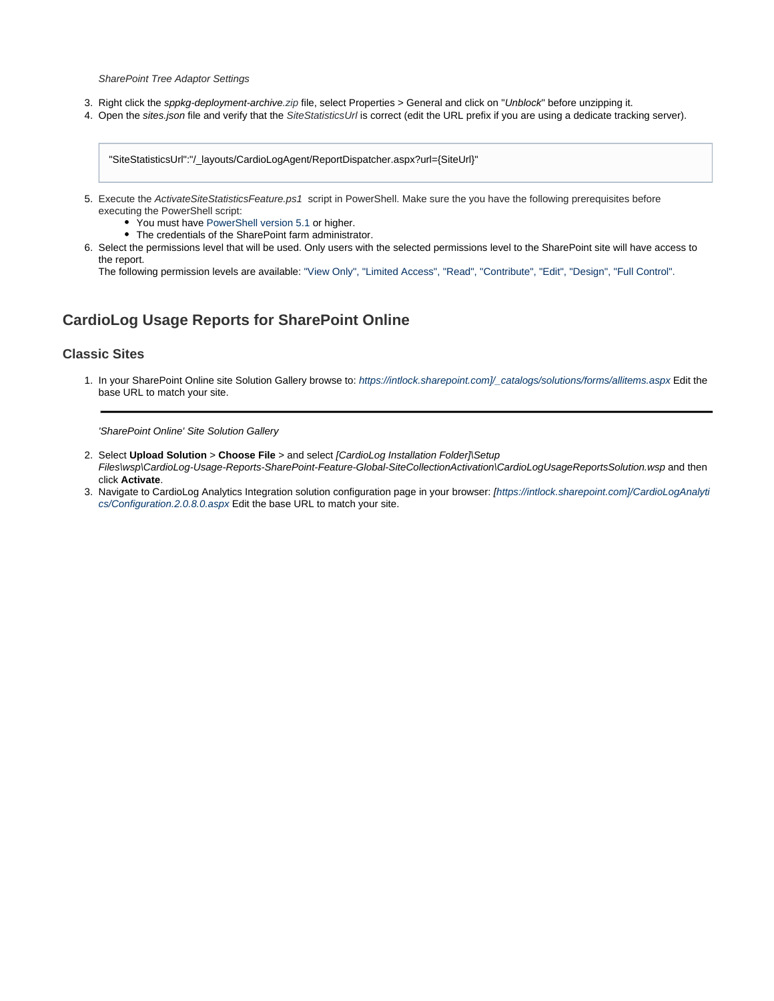SharePoint Tree Adaptor Settings

- 3. Right click the sppkg-deployment-archive.zip file, select Properties > General and click on "Unblock" before unzipping it.
- 4. Open the sites.json file and verify that the SiteStatisticsUrl is correct (edit the URL prefix if you are using a dedicate tracking server).

"SiteStatisticsUrl":"/\_layouts/CardioLogAgent/ReportDispatcher.aspx?url={SiteUrl}"

- 5. Execute the ActivateSiteStatisticsFeature.ps1 script in PowerShell. Make sure the you have the following prerequisites before executing the PowerShell script:
	- You must have [PowerShell version 5.1](https://www.microsoft.com/en-us/download/details.aspx?id=54616) or higher.
	- The credentials of the SharePoint farm administrator.
- 6. Select the permissions level that will be used. Only users with the selected permissions level to the SharePoint site will have access to the report.

The following permission levels are available: "View Only", "Limited Access", "Read", "Contribute", "Edit", "Design", "Full Control".

## <span id="page-3-0"></span>**CardioLog Usage Reports for SharePoint Online**

#### <span id="page-3-1"></span>**Classic Sites**

1. In your SharePoint Online site Solution Gallery browse to: https://intlock.sharepoint.com]/\_catalogs/solutions/forms/allitems.aspx Edit the base URL to match your site.

'SharePoint Online' Site Solution Gallery

- 2. Select **Upload Solution** > **Choose File** > and select [CardioLog Installation Folder]\Setup Files\wsp\CardioLog-Usage-Reports-SharePoint-Feature-Global-SiteCollectionActivation\CardioLogUsageReportsSolution.wsp and then click **Activate**.
- 3. Navigate to CardioLog Analytics Integration solution configuration page in your browser: [https://intlock.sharepoint.com]/CardioLogAnalyti cs/Configuration.2.0.8.0.aspx Edit the base URL to match your site.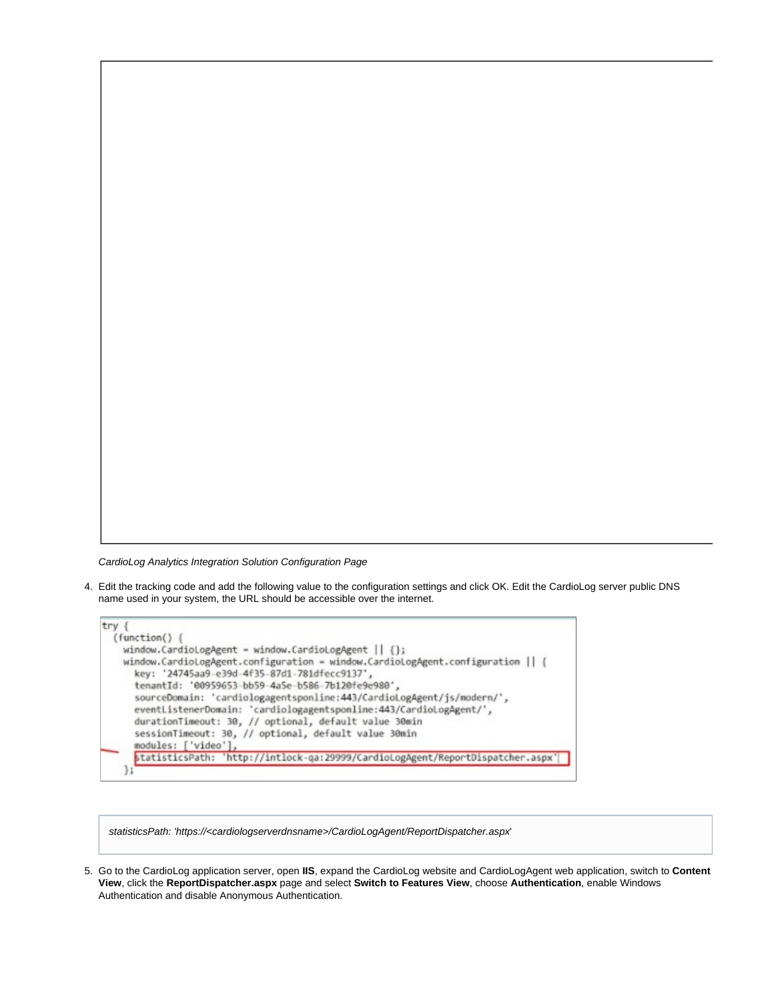CardioLog Analytics Integration Solution Configuration Page

4. Edit the tracking code and add the following value to the configuration settings and click OK. Edit the CardioLog server public DNS name used in your system, the URL should be accessible over the internet.



statisticsPath: 'https://<cardiologserverdnsname>/CardioLogAgent/ReportDispatcher.aspx'

5. Go to the CardioLog application server, open **IIS**, expand the CardioLog website and CardioLogAgent web application, switch to **Content View**, click the **ReportDispatcher.aspx** page and select **Switch to Features View**, choose **Authentication**, enable Windows Authentication and disable Anonymous Authentication.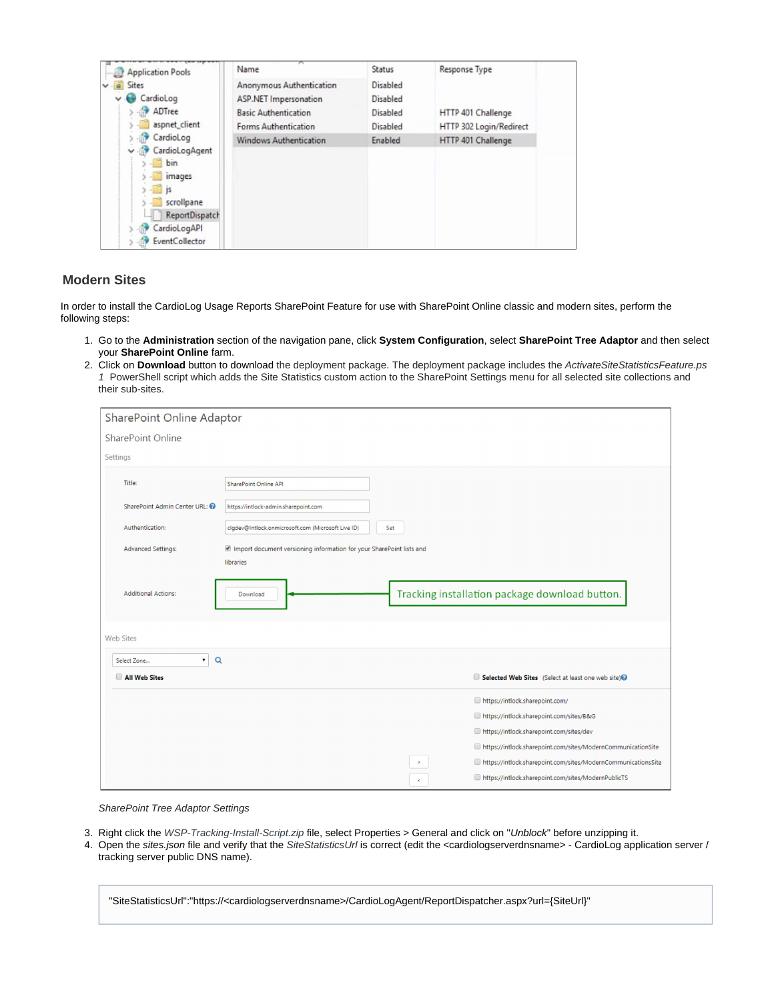| <b>Application Pools</b> | Name                          | Status   | Response Type           |
|--------------------------|-------------------------------|----------|-------------------------|
| Sites                    | Anonymous Authentication      | Disabled |                         |
| CardioLog                | <b>ASP.NET Impersonation</b>  | Disabled |                         |
| ADTree                   | <b>Basic Authentication</b>   | Disabled | HTTP 401 Challenge      |
| aspnet_client            | Forms Authentication          | Disabled | HTTP 302 Login/Redirect |
| CardioLog                | <b>Windows Authentication</b> | Enabled  | HTTP 401 Challenge      |
| CardioLogAgent<br>v      |                               |          |                         |
| bin                      |                               |          |                         |
| images                   |                               |          |                         |
| is.<br>scrollpane        |                               |          |                         |
| ReportDispatch           |                               |          |                         |
| CardioLogAPI             |                               |          |                         |
| EventCollector           |                               |          |                         |

### <span id="page-5-0"></span>**Modern Sites**

In order to install the CardioLog Usage Reports SharePoint Feature for use with SharePoint Online classic and modern sites, perform the following steps:

- 1. Go to the **Administration** section of the navigation pane, click **System Configuration**, select **SharePoint Tree Adaptor** and then select your **SharePoint Online** farm.
- 2. Click on **Download** button to download the deployment package. The deployment package includes the ActivateSiteStatisticsFeature.ps 1 PowerShell script which adds the Site Statistics custom action to the SharePoint Settings menu for all selected site collections and their sub-sites.

| SharePoint Online Adaptor            |                                                                                   |       |                                                               |  |
|--------------------------------------|-----------------------------------------------------------------------------------|-------|---------------------------------------------------------------|--|
| <b>SharePoint Online</b>             |                                                                                   |       |                                                               |  |
| Settings                             |                                                                                   |       |                                                               |  |
| Title:                               | SharePoint Online API                                                             |       |                                                               |  |
| SharePoint Admin Center URL: @       | https://intlock-admin.sharepoint.com                                              |       |                                                               |  |
| Authentication:                      | clgdev@Intlock.onmicrosoft.com (Microsoft Live ID)                                | Set   |                                                               |  |
| <b>Advanced Settings:</b>            | Import document versioning information for your SharePoint lists and<br>libraries |       |                                                               |  |
| <b>Additional Actions:</b>           | Download                                                                          |       | Tracking installation package download button.                |  |
| <b>Web Sites</b>                     |                                                                                   |       |                                                               |  |
| $\mathbf{v}$ $\alpha$<br>Select Zone |                                                                                   |       |                                                               |  |
| All Web Sites                        |                                                                                   |       | Selected Web Sites (Select at least one web site)             |  |
|                                      |                                                                                   |       | https://intlock.sharepoint.com/                               |  |
|                                      |                                                                                   |       | https://intlock.sharepoint.com/sites/B&G                      |  |
|                                      |                                                                                   |       | https://intlock.sharepoint.com/sites/dev                      |  |
|                                      |                                                                                   |       | https://intlock.sharepoint.com/sites/ModernCommunicationSite  |  |
|                                      |                                                                                   |       | https://intlock.sharepoint.com/sites/ModernCommunicationsSite |  |
|                                      |                                                                                   | $\,<$ | https://intlock.sharepoint.com/sites/ModernPublicTS           |  |

SharePoint Tree Adaptor Settings

- 3. Right click the WSP-Tracking-Install-Script.zip file, select Properties > General and click on "Unblock" before unzipping it.
- 4. Open the sites.json file and verify that the SiteStatisticsUrl is correct (edit the <cardiologserverdnsname> CardioLog application server / tracking server public DNS name).

"SiteStatisticsUrl":"https://<cardiologserverdnsname>/CardioLogAgent/ReportDispatcher.aspx?url={SiteUrl}"